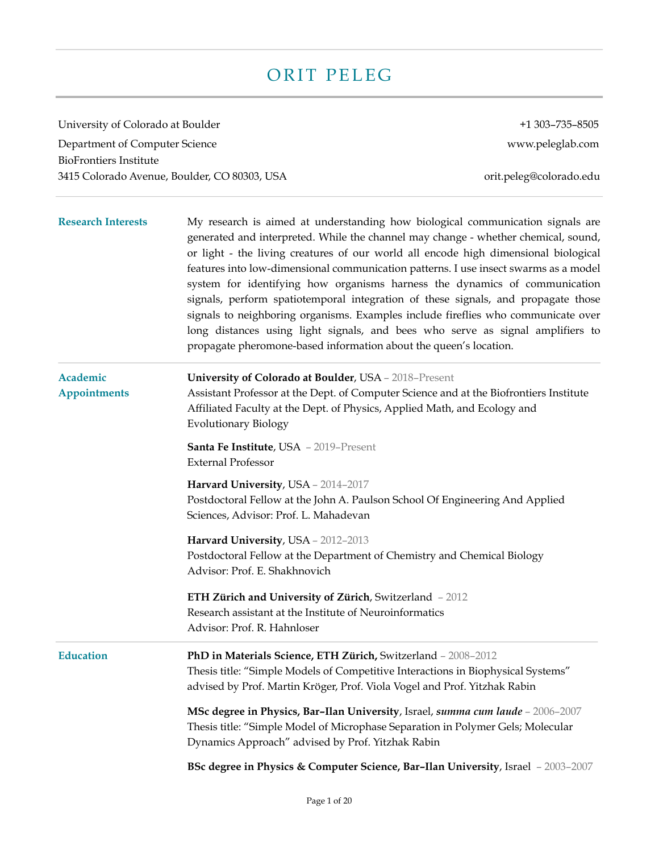# ORIT PELEG

University of Colorado at Boulder +1 303-735-8505 Department of Computer Science www.peleglab.com BioFrontiers Institute 3415 Colorado Avenue, Boulder, CO 80303, USA orit.peleg@colorado.edu **Research Interests** My research is aimed at understanding how biological communication signals are generated and interpreted. While the channel may change - whether chemical, sound, or light - the living creatures of our world all encode high dimensional biological features into low-dimensional communication patterns. I use insect swarms as a model system for identifying how organisms harness the dynamics of communication signals, perform spatiotemporal integration of these signals, and propagate those signals to neighboring organisms. Examples include fireflies who communicate over long distances using light signals, and bees who serve as signal amplifiers to propagate pheromone-based information about the queen's location. **Academic University of Colorado at Boulder**, USA – 2018–Present **Appointments** Assistant Professor at the Dept. of Computer Science and at the Biofrontiers Institute Affiliated Faculty at the Dept. of Physics, Applied Math, and Ecology and Evolutionary Biology **Santa Fe Institute**, USA – 2019–Present External Professor **Harvard University**, USA – 2014–2017 Postdoctoral Fellow at the John A. Paulson School Of Engineering And Applied Sciences, Advisor: Prof. L. Mahadevan **Harvard University**, USA – 2012–2013 Postdoctoral Fellow at the Department of Chemistry and Chemical Biology Advisor: Prof. E. Shakhnovich **ETH Zürich and University of Zürich**, Switzerland – 2012 Research assistant at the Institute of Neuroinformatics Advisor: Prof. R. Hahnloser **Education PhD in Materials Science, ETH Zürich,** Switzerland – 2008–2012 Thesis title: "Simple Models of Competitive Interactions in Biophysical Systems" advised by Prof. Martin Kröger, Prof. Viola Vogel and Prof. Yitzhak Rabin **MSc degree in Physics, Bar–Ilan University**, Israel, *summa cum laude* – 2006–2007 Thesis title: "Simple Model of Microphase Separation in Polymer Gels; Molecular Dynamics Approach" advised by Prof. Yitzhak Rabin **BSc degree in Physics & Computer Science, Bar–Ilan University**, Israel – 2003–2007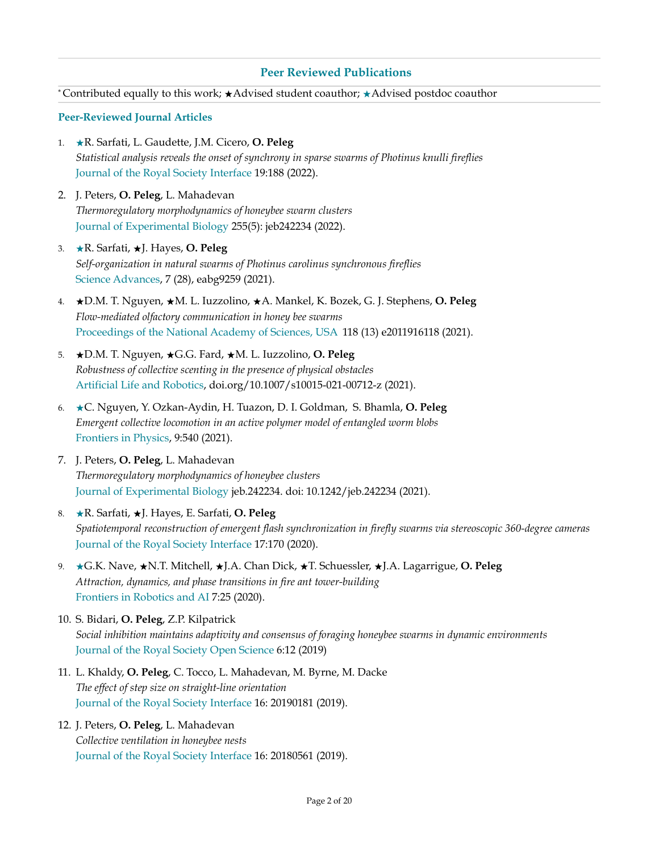### **Peer Reviewed Publications**

\* Contributed equally to this work; ★Advised student coauthor; ★Advised postdoc coauthor

#### **Peer-Reviewed Journal Articles**

- 1. ★R. Sarfati, L. Gaudette, J.M. Cicero, **O. Peleg** *Statistical analysis reveals the onset of synchrony in sparse swarms of Photinus knulli fireflies* Journal of the Royal Society Interface 19:188 (2022).
- 2. J. Peters, **O. Peleg**, L. Mahadevan *Thermoregulatory morphodynamics of honeybee swarm clusters* Journal of Experimental Biology 255(5): jeb242234 (2022).
- 3. ★R. Sarfati, ★J. Hayes, **O. Peleg** *Self-organization in natural swarms of Photinus carolinus synchronous fireflies*  Science Advances, 7 (28), eabg9259 (2021).
- 4. ★D.M. T. Nguyen, ★M. L. Iuzzolino, ★A. Mankel, K. Bozek, G. J. Stephens, **O. Peleg** *Flow-mediated olfactory communication in honey bee swarms* Proceedings of the National Academy of Sciences, USA 118 (13) e2011916118 (2021).
- 5. ★D.M. T. Nguyen, ★G.G. Fard, ★M. L. Iuzzolino, **O. Peleg** *Robustness of collective scenting in the presence of physical obstacles*  Artificial Life and Robotics, [doi.org/10.1007/s10015-021-00712-z](https://doi.org/10.1007/s10015-021-00712-z) (2021).
- 6. ★C. Nguyen, Y. Ozkan-Aydin, H. Tuazon, D. I. Goldman, S. Bhamla, **O. Peleg** *Emergent collective locomotion in an active polymer model of entangled worm blobs*  Frontiers in Physics, 9:540 (2021).
- 7. J. Peters, **O. Peleg**, L. Mahadevan *Thermoregulatory morphodynamics of honeybee clusters* Journal of Experimental Biology jeb.242234. doi: 10.1242/jeb.242234 (2021).
- 8. ★R. Sarfati, ★J. Hayes, E. Sarfati, **O. Peleg** *Spatiotemporal reconstruction of emergent flash synchronization in firefly swarms via stereoscopic 360-degree cameras* Journal of the Royal Society Interface 17:170 (2020).
- 9. ★G.K. Nave, ★N.T. Mitchell, ★J.A. Chan Dick, ★T. Schuessler, ★J.A. Lagarrigue, **O. Peleg** *Attraction, dynamics, and phase transitions in fire ant tower-building* Frontiers in Robotics and AI 7:25 (2020).
- 10. S. Bidari, **O. Peleg**, Z.P. Kilpatrick *Social inhibition maintains adaptivity and consensus of foraging honeybee swarms in dynamic environments* Journal of the Royal Society Open Science 6:12 (2019)
- 11. L. Khaldy, **O. Peleg**, C. Tocco, L. Mahadevan, M. Byrne, M. Dacke *The effect of step size on straight-line orientation* Journal of the Royal Society Interface 16: 20190181 (2019).

## 12. J. Peters, **O. Peleg**, L. Mahadevan *Collective ventilation in honeybee nests* Journal of the Royal Society Interface 16: 20180561 (2019).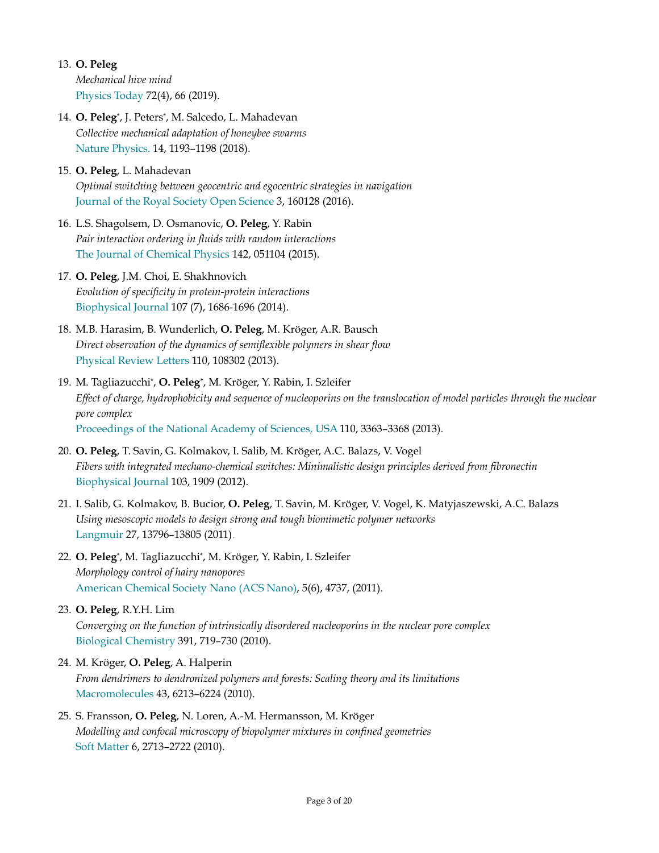13. **O. Peleg**

*Mechanical hive mind*  Physics Today 72(4), 66 (2019).

14. **O. Peleg**\*, J. Peters\*, M. Salcedo, L. Mahadevan *Collective mechanical adaptation of honeybee swarms* Nature Physics. 14, 1193–1198 (2018).

## 15. **O. Peleg**, L. Mahadevan *Optimal switching between geocentric and egocentric strategies in navigation* Journal of the Royal Society Open Science 3, 160128 (2016).

16. L.S. Shagolsem, D. Osmanovic, **O. Peleg**, Y. Rabin *Pair interaction ordering in fluids with random interactions*  The Journal of Chemical Physics 142, 051104 (2015).

## 17. **O. Peleg**, J.M. Choi, E. Shakhnovich *Evolution of specificity in protein-protein interactions* Biophysical Journal 107 (7), 1686-1696 (2014).

- 18. M.B. Harasim, B. Wunderlich, **O. Peleg**, M. Kröger, A.R. Bausch *Direct observation of the dynamics of semiflexible polymers in shear flow* Physical Review Letters 110, 108302 (2013).
- 19. M. Tagliazucchi\*, **O. Peleg\***, M. Kröger, Y. Rabin, I. Szleifer *Effect of charge, hydrophobicity and sequence of nucleoporins on the translocation of model particles through the nuclear pore complex* Proceedings of the National Academy of Sciences, USA 110, 3363–3368 (2013).
- 20. **O. Peleg**, T. Savin, G. Kolmakov, I. Salib, M. Kröger, A.C. Balazs, V. Vogel *Fibers with integrated mechano-chemical switches: Minimalistic design principles derived from fibronectin* Biophysical Journal 103, 1909 (2012).
- 21. I. Salib, G. Kolmakov, B. Bucior, **O. Peleg**, T. Savin, M. Kröger, V. Vogel, K. Matyjaszewski, A.C. Balazs *Using mesoscopic models to design strong and tough biomimetic polymer networks* Langmuir 27, 13796–13805 (2011) .
- 22. **O. Peleg**\*, M. Tagliazucchi\*, M. Kröger, Y. Rabin, I. Szleifer *Morphology control of hairy nanopores* American Chemical Society Nano (ACS Nano), 5(6), 4737, (2011).

## 23. **O. Peleg**, R.Y.H. Lim *Converging on the function of intrinsically disordered nucleoporins in the nuclear pore complex* Biological Chemistry 391, 719–730 (2010).

## 24. M. Kröger, **O. Peleg**, A. Halperin

*From dendrimers to dendronized polymers and forests: Scaling theory and its limitations* Macromolecules 43, 6213–6224 (2010).

## 25. S. Fransson, **O. Peleg**, N. Loren, A.-M. Hermansson, M. Kröger *Modelling and confocal microscopy of biopolymer mixtures in confined geometries* Soft Matter 6, 2713–2722 (2010).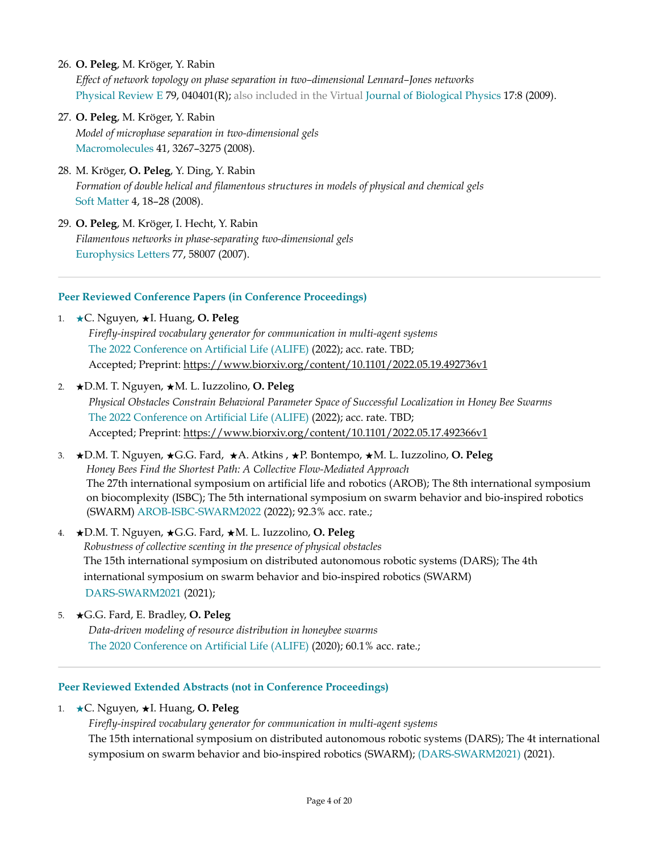26. **O. Peleg**, M. Kröger, Y. Rabin

*Effect of network topology on phase separation in two–dimensional Lennard–Jones networks* Physical Review E 79, 040401(R); also included in the Virtual Journal of Biological Physics 17:8 (2009).

- 27. **O. Peleg**, M. Kröger, Y. Rabin *Model of microphase separation in two-dimensional gels* Macromolecules 41, 3267–3275 (2008).
- 28. M. Kröger, **O. Peleg**, Y. Ding, Y. Rabin *Formation of double helical and filamentous structures in models of physical and chemical gels* Soft Matter 4, 18–28 (2008).
- 29. **O. Peleg**, M. Kröger, I. Hecht, Y. Rabin *Filamentous networks in phase-separating two-dimensional gels* Europhysics Letters 77, 58007 (2007).

### **Peer Reviewed Conference Papers (in Conference Proceedings)**

- 1. ★C. Nguyen, ★I. Huang, **O. Peleg** *Firefly-inspired vocabulary generator for communication in multi-agent systems*  The 2022 Conference on Artificial Life (ALIFE) (2022); acc. rate. TBD; Accepted; Preprint: <https://www.biorxiv.org/content/10.1101/2022.05.19.492736v1>
- 2. ★D.M. T. Nguyen, ★M. L. Iuzzolino, **O. Peleg** *Physical Obstacles Constrain Behavioral Parameter Space of Successful Localization in Honey Bee Swarms*  The 2022 Conference on Artificial Life (ALIFE) (2022); acc. rate. TBD; Accepted; Preprint: <https://www.biorxiv.org/content/10.1101/2022.05.17.492366v1>
- 3. ★D.M. T. Nguyen, ★G.G. Fard, ★A. Atkins , ★P. Bontempo, ★M. L. Iuzzolino, **O. Peleg** *Honey Bees Find the Shortest Path: A Collective Flow-Mediated Approach*  The 27th international symposium on artificial life and robotics (AROB); The 8th international symposium on biocomplexity (ISBC); The 5th international symposium on swarm behavior and bio-inspired robotics (SWARM) AROB-ISBC-SWARM2022 (2022); 92.3% acc. rate.;
- 4. ★D.M. T. Nguyen, ★G.G. Fard, ★M. L. Iuzzolino, **O. Peleg** *Robustness of collective scenting in the presence of physical obstacles*  The 15th international symposium on distributed autonomous robotic systems (DARS); The 4th international symposium on swarm behavior and bio-inspired robotics (SWARM) DARS-SWARM2021 (2021);
- 5. ★G.G. Fard, E. Bradley, **O. Peleg** *Data-driven modeling of resource distribution in honeybee swarms*  The 2020 Conference on Artificial Life (ALIFE) (2020); 60.1% acc. rate.;

#### **Peer Reviewed Extended Abstracts (not in Conference Proceedings)**

- 1. ★C. Nguyen, ★I. Huang, **O. Peleg**
	- *Firefly-inspired vocabulary generator for communication in multi-agent systems* The 15th international symposium on distributed autonomous robotic systems (DARS); The 4t international symposium on swarm behavior and bio-inspired robotics (SWARM); (DARS-SWARM2021) (2021).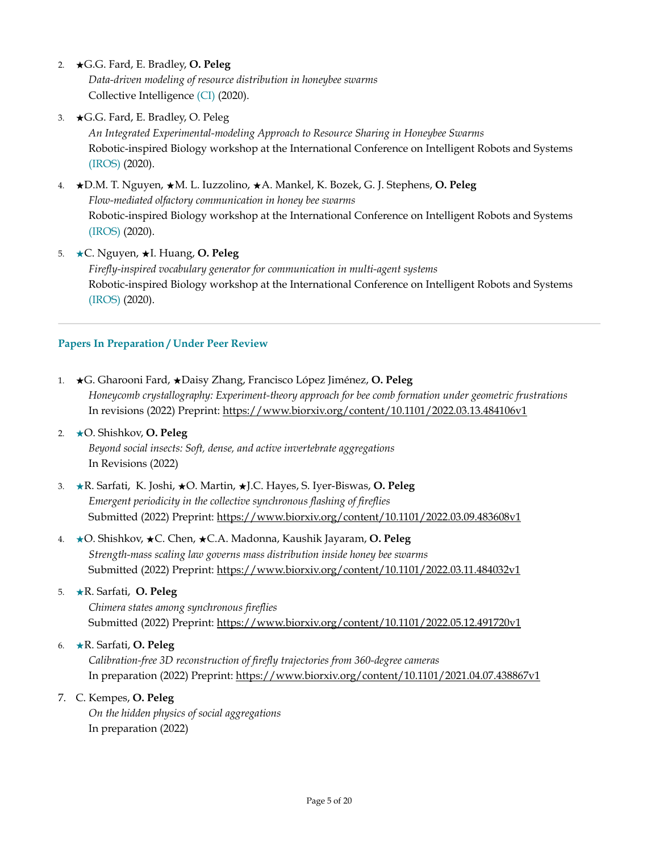- 2. ★G.G. Fard, E. Bradley, **O. Peleg** *Data-driven modeling of resource distribution in honeybee swarms* Collective Intelligence (CI) (2020).
- 3. ★G.G. Fard, E. Bradley, O. Peleg *An Integrated Experimental-modeling Approach to Resource Sharing in Honeybee Swarms* Robotic-inspired Biology workshop at the International Conference on Intelligent Robots and Systems (IROS) (2020).
- 4. ★D.M. T. Nguyen, ★M. L. Iuzzolino, ★A. Mankel, K. Bozek, G. J. Stephens, **O. Peleg** *Flow-mediated olfactory communication in honey bee swarms* Robotic-inspired Biology workshop at the International Conference on Intelligent Robots and Systems (IROS) (2020).
- 5. ★C. Nguyen, ★I. Huang, **O. Peleg** *Firefly-inspired vocabulary generator for communication in multi-agent systems* Robotic-inspired Biology workshop at the International Conference on Intelligent Robots and Systems (IROS) (2020).

## **Papers In Preparation / Under Peer Review**

- 1. ★G. Gharooni Fard, ★Daisy Zhang, Francisco López Jiménez, **O. Peleg** *Honeycomb crystallography: Experiment-theory approach for bee comb formation under geometric frustrations* In revisions (2022) Preprint:<https://www.biorxiv.org/content/10.1101/2022.03.13.484106v1>
- 2. ★O. Shishkov, **O. Peleg** *Beyond social insects: Soft, dense, and active invertebrate aggregations*  In Revisions (2022)
- 3. ★R. Sarfati, K. Joshi, ★O. Martin, ★J.C. Hayes, S. Iyer-Biswas, **O. Peleg** *Emergent periodicity in the collective synchronous flashing of fireflies* Submitted (2022) Preprint: <https://www.biorxiv.org/content/10.1101/2022.03.09.483608v1>
- 4. ★O. Shishkov, ★C. Chen, ★C.A. Madonna, Kaushik Jayaram, **O. Peleg** *Strength-mass scaling law governs mass distribution inside honey bee swarms* Submitted (2022) Preprint: <https://www.biorxiv.org/content/10.1101/2022.03.11.484032v1>
- 5. ★R. Sarfati, **O. Peleg** *Chimera states among synchronous fireflies* Submitted (2022) Preprint: <https://www.biorxiv.org/content/10.1101/2022.05.12.491720v1>

6. ★R. Sarfati, **O. Peleg**

*Calibration-free 3D reconstruction of firefly trajectories from 360-degree cameras* In preparation (2022) Preprint:<https://www.biorxiv.org/content/10.1101/2021.04.07.438867v1>

#### 7. C. Kempes, **O. Peleg**

*On the hidden physics of social aggregations*  In preparation (2022)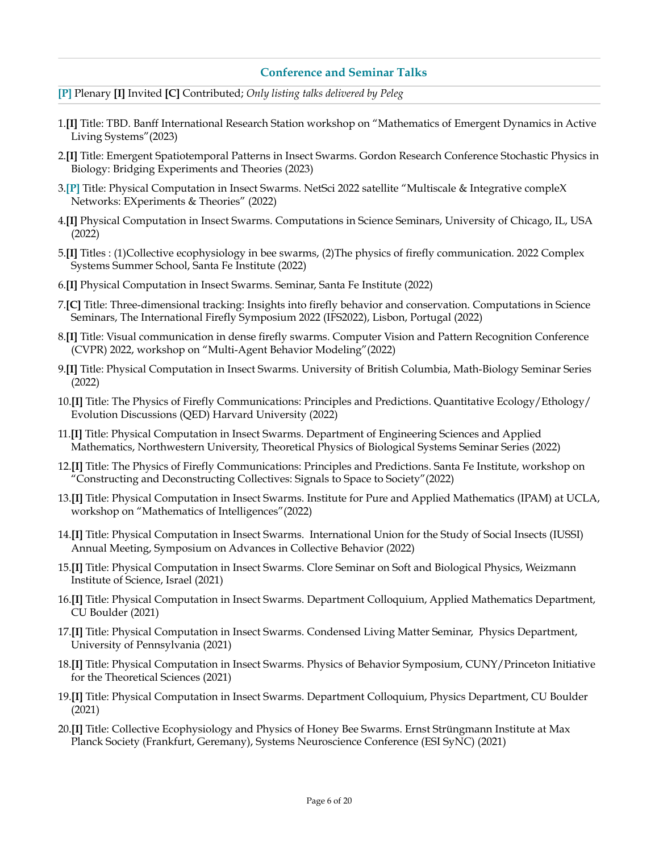#### **Conference and Seminar Talks**

- **[P]** Plenary **[I]** Invited **[C]** Contributed; *Only listing talks delivered by Peleg*
- 1.**[I]** Title: TBD. Banff International Research Station workshop on "Mathematics of Emergent Dynamics in Active Living Systems"(2023)
- 2.**[I]** Title: Emergent Spatiotemporal Patterns in Insect Swarms. Gordon Research Conference Stochastic Physics in Biology: Bridging Experiments and Theories (2023)
- 3.**[P]** Title: Physical Computation in Insect Swarms. NetSci 2022 satellite "Multiscale & Integrative compleX Networks: EXperiments & Theories" (2022)
- 4.**[I]** Physical Computation in Insect Swarms. Computations in Science Seminars, University of Chicago, IL, USA (2022)
- 5.**[I]** Titles : (1)Collective ecophysiology in bee swarms, (2)The physics of firefly communication. 2022 Complex Systems Summer School, Santa Fe Institute (2022)
- 6.**[I]** Physical Computation in Insect Swarms. Seminar, Santa Fe Institute (2022)
- 7.**[C]** Title: Three-dimensional tracking: Insights into firefly behavior and conservation. Computations in Science Seminars, The International Firefly Symposium 2022 (IFS2022), Lisbon, Portugal (2022)
- 8.**[I]** Title: Visual communication in dense firefly swarms. Computer Vision and Pattern Recognition Conference (CVPR) 2022, workshop on "Multi-Agent Behavior Modeling"(2022)
- 9.**[I]** Title: Physical Computation in Insect Swarms. University of British Columbia, Math-Biology Seminar Series (2022)
- 10.**[I]** Title: The Physics of Firefly Communications: Principles and Predictions. Quantitative Ecology/Ethology/ Evolution Discussions (QED) Harvard University (2022)
- 11.**[I]** Title: Physical Computation in Insect Swarms. Department of Engineering Sciences and Applied Mathematics, Northwestern University, Theoretical Physics of Biological Systems Seminar Series (2022)
- 12.**[I]** Title: The Physics of Firefly Communications: Principles and Predictions. Santa Fe Institute, workshop on "Constructing and Deconstructing Collectives: Signals to Space to Society"(2022)
- 13.**[I]** Title: Physical Computation in Insect Swarms. Institute for Pure and Applied Mathematics (IPAM) at UCLA, workshop on "Mathematics of Intelligences"(2022)
- 14.**[I]** Title: Physical Computation in Insect Swarms. International Union for the Study of Social Insects (IUSSI) Annual Meeting, Symposium on Advances in Collective Behavior (2022)
- 15.**[I]** Title: Physical Computation in Insect Swarms. Clore Seminar on Soft and Biological Physics, Weizmann Institute of Science, Israel (2021)
- 16.**[I]** Title: Physical Computation in Insect Swarms. Department Colloquium, Applied Mathematics Department, CU Boulder (2021)
- 17.**[I]** Title: Physical Computation in Insect Swarms. Condensed Living Matter Seminar, Physics Department, University of Pennsylvania (2021)
- 18.**[I]** Title: Physical Computation in Insect Swarms. Physics of Behavior Symposium, CUNY/Princeton Initiative for the Theoretical Sciences (2021)
- 19.**[I]** Title: Physical Computation in Insect Swarms. Department Colloquium, Physics Department, CU Boulder (2021)
- 20.**[I]** Title: Collective Ecophysiology and Physics of Honey Bee Swarms. Ernst Strüngmann Institute at Max Planck Society (Frankfurt, Geremany), Systems Neuroscience Conference (ESI SyNC) (2021)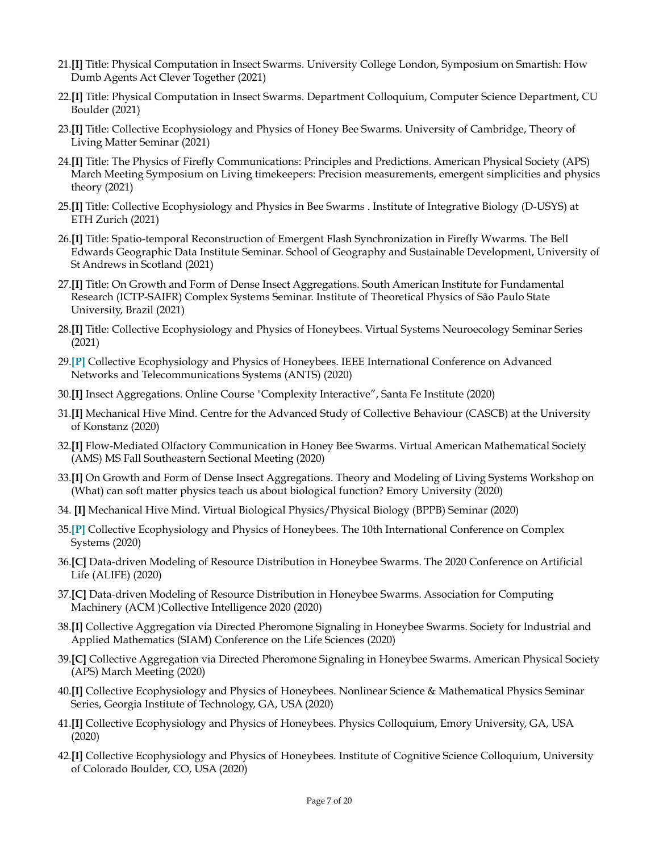- 21.**[I]** Title: Physical Computation in Insect Swarms. University College London, Symposium on Smartish: How Dumb Agents Act Clever Together (2021)
- 22.**[I]** Title: Physical Computation in Insect Swarms. Department Colloquium, Computer Science Department, CU Boulder (2021)
- 23.**[I]** Title: Collective Ecophysiology and Physics of Honey Bee Swarms. University of Cambridge, Theory of Living Matter Seminar (2021)
- 24.**[I]** Title: The Physics of Firefly Communications: Principles and Predictions. American Physical Society (APS) March Meeting Symposium on Living timekeepers: Precision measurements, emergent simplicities and physics theory (2021)
- 25.**[I]** Title: Collective Ecophysiology and Physics in Bee Swarms . Institute of Integrative Biology (D-USYS) at ETH Zurich (2021)
- 26.**[I]** Title: Spatio-temporal Reconstruction of Emergent Flash Synchronization in Firefly Wwarms. The Bell Edwards Geographic Data Institute Seminar. School of Geography and Sustainable Development, University of St Andrews in Scotland (2021)
- 27.**[I]** Title: On Growth and Form of Dense Insect Aggregations. South American Institute for Fundamental Research (ICTP-SAIFR) Complex Systems Seminar. Institute of Theoretical Physics of São Paulo State University, Brazil (2021)
- 28.**[I]** Title: Collective Ecophysiology and Physics of Honeybees. Virtual Systems Neuroecology Seminar Series (2021)
- 29.**[P]** Collective Ecophysiology and Physics of Honeybees. IEEE International Conference on Advanced Networks and Telecommunications Systems (ANTS) (2020)
- 30.**[I]** Insect Aggregations. Online Course "Complexity Interactive", Santa Fe Institute (2020)
- 31.**[I]** Mechanical Hive Mind. Centre for the Advanced Study of Collective Behaviour (CASCB) at the University of Konstanz (2020)
- 32.**[I]** Flow-Mediated Olfactory Communication in Honey Bee Swarms. Virtual American Mathematical Society (AMS) MS Fall Southeastern Sectional Meeting (2020)
- 33.**[I]** On Growth and Form of Dense Insect Aggregations. Theory and Modeling of Living Systems Workshop on (What) can soft matter physics teach us about biological function? Emory University (2020)
- 34. **[I]** Mechanical Hive Mind. Virtual Biological Physics/Physical Biology (BPPB) Seminar (2020)
- 35.**[P]** Collective Ecophysiology and Physics of Honeybees. The 10th International Conference on Complex Systems (2020)
- 36.**[C]** Data-driven Modeling of Resource Distribution in Honeybee Swarms. The 2020 Conference on Artificial Life (ALIFE) (2020)
- 37.**[C]** Data-driven Modeling of Resource Distribution in Honeybee Swarms. Association for Computing Machinery (ACM )Collective Intelligence 2020 (2020)
- 38.**[I]** Collective Aggregation via Directed Pheromone Signaling in Honeybee Swarms. Society for Industrial and Applied Mathematics (SIAM) Conference on the Life Sciences (2020)
- 39.**[C]** Collective Aggregation via Directed Pheromone Signaling in Honeybee Swarms. American Physical Society (APS) March Meeting (2020)
- 40.**[I]** Collective Ecophysiology and Physics of Honeybees. Nonlinear Science & Mathematical Physics Seminar Series, Georgia Institute of Technology, GA, USA (2020)
- 41.**[I]** Collective Ecophysiology and Physics of Honeybees. Physics Colloquium, Emory University, GA, USA (2020)
- 42.**[I]** Collective Ecophysiology and Physics of Honeybees. Institute of Cognitive Science Colloquium, University of Colorado Boulder, CO, USA (2020)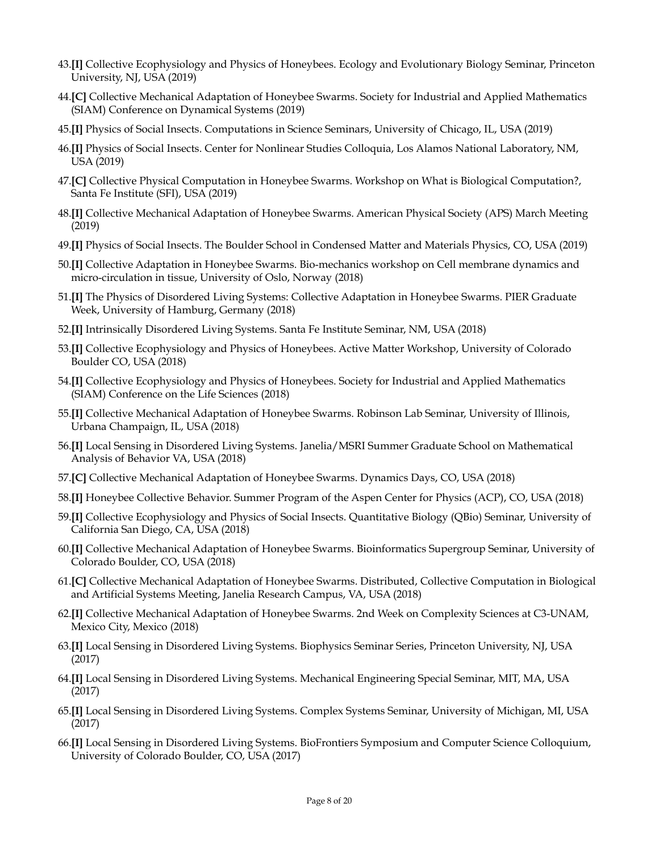- 43.**[I]** Collective Ecophysiology and Physics of Honeybees. Ecology and Evolutionary Biology Seminar, Princeton University, NJ, USA (2019)
- 44.**[C]** Collective Mechanical Adaptation of Honeybee Swarms. Society for Industrial and Applied Mathematics (SIAM) Conference on Dynamical Systems (2019)
- 45.**[I]** Physics of Social Insects. Computations in Science Seminars, University of Chicago, IL, USA (2019)
- 46.**[I]** Physics of Social Insects. Center for Nonlinear Studies Colloquia, Los Alamos National Laboratory, NM, USA (2019)
- 47.**[C]** Collective Physical Computation in Honeybee Swarms. Workshop on What is Biological Computation?, Santa Fe Institute (SFI), USA (2019)
- 48.**[I]** Collective Mechanical Adaptation of Honeybee Swarms. American Physical Society (APS) March Meeting (2019)
- 49.**[I]** Physics of Social Insects. The Boulder School in Condensed Matter and Materials Physics, CO, USA (2019)
- 50.**[I]** Collective Adaptation in Honeybee Swarms. Bio-mechanics workshop on Cell membrane dynamics and micro-circulation in tissue, University of Oslo, Norway (2018)
- 51.**[I]** The Physics of Disordered Living Systems: Collective Adaptation in Honeybee Swarms. PIER Graduate Week, University of Hamburg, Germany (2018)
- 52.**[I]** Intrinsically Disordered Living Systems. Santa Fe Institute Seminar, NM, USA (2018)
- 53.**[I]** Collective Ecophysiology and Physics of Honeybees. Active Matter Workshop, University of Colorado Boulder CO, USA (2018)
- 54.**[I]** Collective Ecophysiology and Physics of Honeybees. Society for Industrial and Applied Mathematics (SIAM) Conference on the Life Sciences (2018)
- 55.**[I]** Collective Mechanical Adaptation of Honeybee Swarms. Robinson Lab Seminar, University of Illinois, Urbana Champaign, IL, USA (2018)
- 56.**[I]** Local Sensing in Disordered Living Systems. Janelia/MSRI Summer Graduate School on Mathematical Analysis of Behavior VA, USA (2018)
- 57.**[C]** Collective Mechanical Adaptation of Honeybee Swarms. Dynamics Days, CO, USA (2018)
- 58.**[I]** Honeybee Collective Behavior. Summer Program of the Aspen Center for Physics (ACP), CO, USA (2018)
- 59.**[I]** Collective Ecophysiology and Physics of Social Insects. Quantitative Biology (QBio) Seminar, University of California San Diego, CA, USA (2018)
- 60.**[I]** Collective Mechanical Adaptation of Honeybee Swarms. Bioinformatics Supergroup Seminar, University of Colorado Boulder, CO, USA (2018)
- 61.**[C]** Collective Mechanical Adaptation of Honeybee Swarms. Distributed, Collective Computation in Biological and Artificial Systems Meeting, Janelia Research Campus, VA, USA (2018)
- 62.**[I]** Collective Mechanical Adaptation of Honeybee Swarms. 2nd Week on Complexity Sciences at C3-UNAM, Mexico City, Mexico (2018)
- 63.**[I]** Local Sensing in Disordered Living Systems. Biophysics Seminar Series, Princeton University, NJ, USA (2017)
- 64.**[I]** Local Sensing in Disordered Living Systems. Mechanical Engineering Special Seminar, MIT, MA, USA (2017)
- 65.**[I]** Local Sensing in Disordered Living Systems. Complex Systems Seminar, University of Michigan, MI, USA (2017)
- 66.**[I]** Local Sensing in Disordered Living Systems. BioFrontiers Symposium and Computer Science Colloquium, University of Colorado Boulder, CO, USA (2017)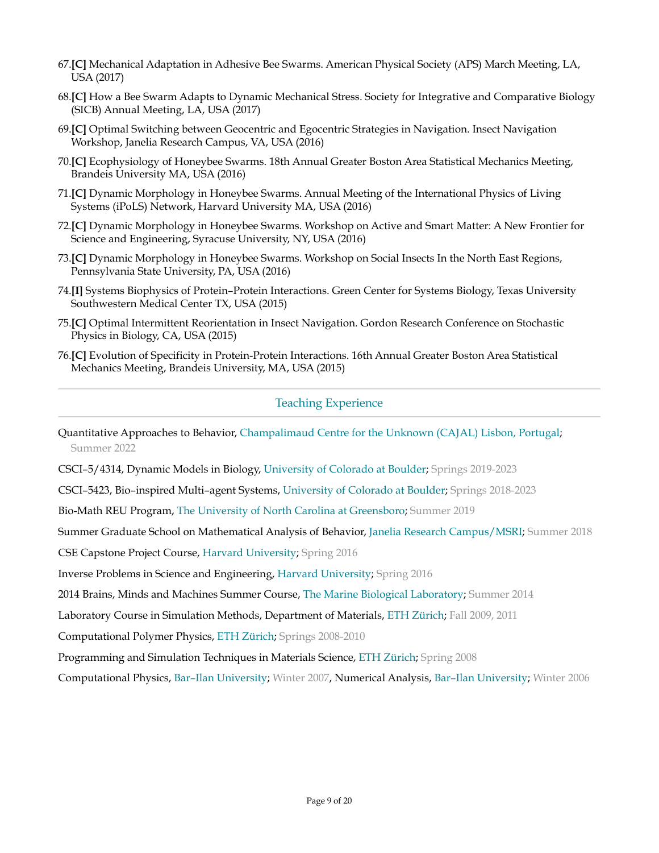- 67.**[C]** Mechanical Adaptation in Adhesive Bee Swarms. American Physical Society (APS) March Meeting, LA, USA (2017)
- 68.**[C]** How a Bee Swarm Adapts to Dynamic Mechanical Stress. Society for Integrative and Comparative Biology (SICB) Annual Meeting, LA, USA (2017)
- 69.**[C]** Optimal Switching between Geocentric and Egocentric Strategies in Navigation. Insect Navigation Workshop, Janelia Research Campus, VA, USA (2016)
- 70.**[C]** Ecophysiology of Honeybee Swarms. 18th Annual Greater Boston Area Statistical Mechanics Meeting, Brandeis University MA, USA (2016)
- 71.**[C]** Dynamic Morphology in Honeybee Swarms. Annual Meeting of the International Physics of Living Systems (iPoLS) Network, Harvard University MA, USA (2016)
- 72.**[C]** Dynamic Morphology in Honeybee Swarms. Workshop on Active and Smart Matter: A New Frontier for Science and Engineering, Syracuse University, NY, USA (2016)
- 73.**[C]** Dynamic Morphology in Honeybee Swarms. Workshop on Social Insects In the North East Regions, Pennsylvania State University, PA, USA (2016)
- 74.**[I]** Systems Biophysics of Protein–Protein Interactions. Green Center for Systems Biology, Texas University Southwestern Medical Center TX, USA (2015)
- 75.**[C]** Optimal Intermittent Reorientation in Insect Navigation. Gordon Research Conference on Stochastic Physics in Biology, CA, USA (2015)
- 76.**[C]** Evolution of Specificity in Protein-Protein Interactions. 16th Annual Greater Boston Area Statistical Mechanics Meeting, Brandeis University, MA, USA (2015)

## Teaching Experience

Quantitative Approaches to Behavior, Champalimaud Centre for the Unknown (CAJAL) Lisbon, Portugal; Summer 2022

CSCI–5/4314, Dynamic Models in Biology, University of Colorado at Boulder; Springs 2019-2023

CSCI–5423, Bio–inspired Multi–agent Systems, University of Colorado at Boulder; Springs 2018-2023

Bio-Math REU Program, The University of North Carolina at Greensboro; Summer 2019

Summer Graduate School on Mathematical Analysis of Behavior, Janelia Research Campus/MSRI; Summer 2018

CSE Capstone Project Course, Harvard University; Spring 2016

Inverse Problems in Science and Engineering, Harvard University; Spring 2016

2014 Brains, Minds and Machines Summer Course, The Marine Biological Laboratory; Summer 2014

Laboratory Course in Simulation Methods, Department of Materials, ETH Zürich; Fall 2009, 2011

Computational Polymer Physics, ETH Zürich; Springs 2008-2010

Programming and Simulation Techniques in Materials Science, ETH Zürich; Spring 2008

Computational Physics, Bar–Ilan University; Winter 2007, Numerical Analysis, Bar–Ilan University; Winter 2006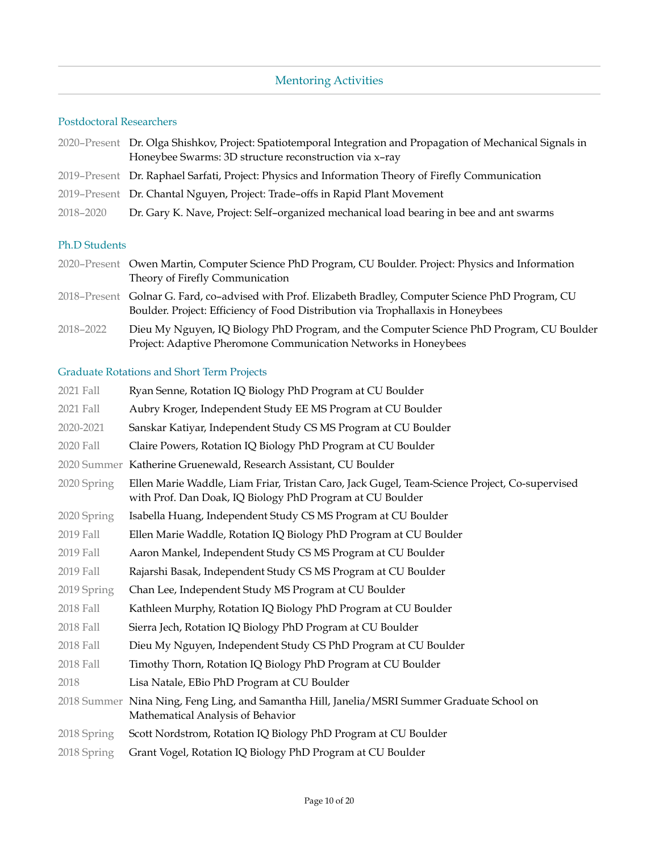## Mentoring Activities

#### Postdoctoral Researchers

- 2020–Present Dr. Olga Shishkov, Project: Spatiotemporal Integration and Propagation of Mechanical Signals in Honeybee Swarms: 3D structure reconstruction via x–ray 2019–Present Dr. Raphael Sarfati, Project: Physics and Information Theory of Firefly Communication
- 2019–Present Dr. Chantal Nguyen, Project: Trade–offs in Rapid Plant Movement
- 2018–2020 Dr. Gary K. Nave, Project: Self–organized mechanical load bearing in bee and ant swarms

#### Ph.D Students

- 2020–Present Owen Martin, Computer Science PhD Program, CU Boulder. Project: Physics and Information Theory of Firefly Communication
- 2018–Present Golnar G. Fard, co–advised with Prof. Elizabeth Bradley, Computer Science PhD Program, CU Boulder. Project: Efficiency of Food Distribution via Trophallaxis in Honeybees
- 2018–2022 Dieu My Nguyen, IQ Biology PhD Program, and the Computer Science PhD Program, CU Boulder Project: Adaptive Pheromone Communication Networks in Honeybees

#### Graduate Rotations and Short Term Projects

| 2021 Fall   | Ryan Senne, Rotation IQ Biology PhD Program at CU Boulder                                                                                                  |
|-------------|------------------------------------------------------------------------------------------------------------------------------------------------------------|
| 2021 Fall   | Aubry Kroger, Independent Study EE MS Program at CU Boulder                                                                                                |
| 2020-2021   | Sanskar Katiyar, Independent Study CS MS Program at CU Boulder                                                                                             |
| 2020 Fall   | Claire Powers, Rotation IQ Biology PhD Program at CU Boulder                                                                                               |
|             | 2020 Summer Katherine Gruenewald, Research Assistant, CU Boulder                                                                                           |
| 2020 Spring | Ellen Marie Waddle, Liam Friar, Tristan Caro, Jack Gugel, Team-Science Project, Co-supervised<br>with Prof. Dan Doak, IQ Biology PhD Program at CU Boulder |
| 2020 Spring | Isabella Huang, Independent Study CS MS Program at CU Boulder                                                                                              |
| 2019 Fall   | Ellen Marie Waddle, Rotation IQ Biology PhD Program at CU Boulder                                                                                          |
| 2019 Fall   | Aaron Mankel, Independent Study CS MS Program at CU Boulder                                                                                                |
| 2019 Fall   | Rajarshi Basak, Independent Study CS MS Program at CU Boulder                                                                                              |
| 2019 Spring | Chan Lee, Independent Study MS Program at CU Boulder                                                                                                       |
| 2018 Fall   | Kathleen Murphy, Rotation IQ Biology PhD Program at CU Boulder                                                                                             |
| 2018 Fall   | Sierra Jech, Rotation IQ Biology PhD Program at CU Boulder                                                                                                 |
| 2018 Fall   | Dieu My Nguyen, Independent Study CS PhD Program at CU Boulder                                                                                             |
| 2018 Fall   | Timothy Thorn, Rotation IQ Biology PhD Program at CU Boulder                                                                                               |
| 2018        | Lisa Natale, EBio PhD Program at CU Boulder                                                                                                                |
|             | 2018 Summer Nina Ning, Feng Ling, and Samantha Hill, Janelia/MSRI Summer Graduate School on<br>Mathematical Analysis of Behavior                           |
| 2018 Spring | Scott Nordstrom, Rotation IQ Biology PhD Program at CU Boulder                                                                                             |
| 2018 Spring | Grant Vogel, Rotation IQ Biology PhD Program at CU Boulder                                                                                                 |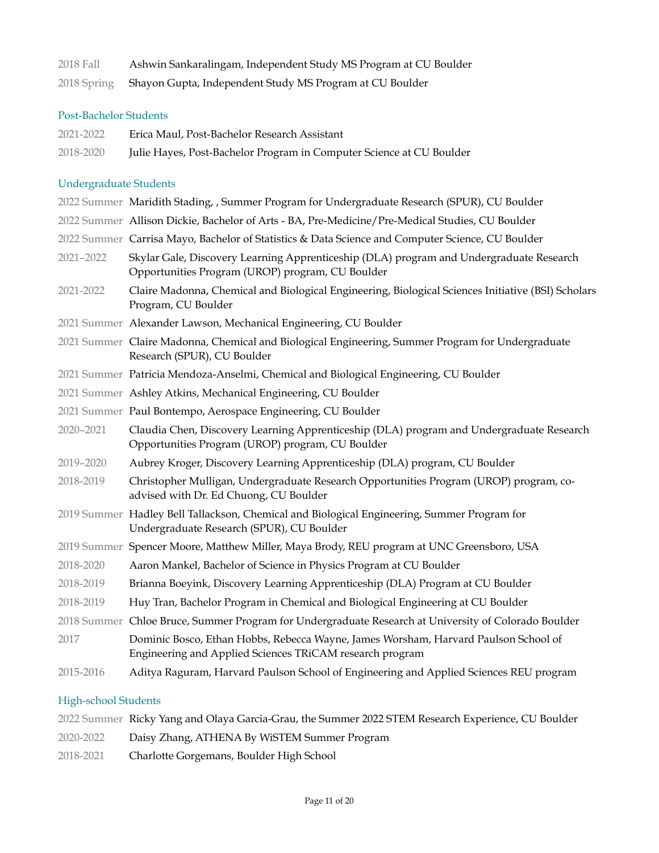| 2018 Fall   | Ashwin Sankaralingam, Independent Study MS Program at CU Boulder |
|-------------|------------------------------------------------------------------|
| 2018 Spring | Shayon Gupta, Independent Study MS Program at CU Boulder         |

## Post-Bachelor Students

| 2021-2022 | Erica Maul, Post-Bachelor Research Assistant                         |
|-----------|----------------------------------------------------------------------|
| 2018-2020 | Julie Hayes, Post-Bachelor Program in Computer Science at CU Boulder |

## Undergraduate Students

|           | 2022 Summer Maridith Stading, , Summer Program for Undergraduate Research (SPUR), CU Boulder                                                    |
|-----------|-------------------------------------------------------------------------------------------------------------------------------------------------|
|           | 2022 Summer Allison Dickie, Bachelor of Arts - BA, Pre-Medicine/Pre-Medical Studies, CU Boulder                                                 |
|           | 2022 Summer Carrisa Mayo, Bachelor of Statistics & Data Science and Computer Science, CU Boulder                                                |
| 2021-2022 | Skylar Gale, Discovery Learning Apprenticeship (DLA) program and Undergraduate Research<br>Opportunities Program (UROP) program, CU Boulder     |
| 2021-2022 | Claire Madonna, Chemical and Biological Engineering, Biological Sciences Initiative (BSI) Scholars<br>Program, CU Boulder                       |
|           | 2021 Summer Alexander Lawson, Mechanical Engineering, CU Boulder                                                                                |
|           | 2021 Summer Claire Madonna, Chemical and Biological Engineering, Summer Program for Undergraduate<br>Research (SPUR), CU Boulder                |
|           | 2021 Summer Patricia Mendoza-Anselmi, Chemical and Biological Engineering, CU Boulder                                                           |
|           | 2021 Summer Ashley Atkins, Mechanical Engineering, CU Boulder                                                                                   |
|           | 2021 Summer Paul Bontempo, Aerospace Engineering, CU Boulder                                                                                    |
| 2020-2021 | Claudia Chen, Discovery Learning Apprenticeship (DLA) program and Undergraduate Research<br>Opportunities Program (UROP) program, CU Boulder    |
| 2019-2020 | Aubrey Kroger, Discovery Learning Apprenticeship (DLA) program, CU Boulder                                                                      |
| 2018-2019 | Christopher Mulligan, Undergraduate Research Opportunities Program (UROP) program, co-<br>advised with Dr. Ed Chuong, CU Boulder                |
|           | 2019 Summer Hadley Bell Tallackson, Chemical and Biological Engineering, Summer Program for<br>Undergraduate Research (SPUR), CU Boulder        |
|           | 2019 Summer Spencer Moore, Matthew Miller, Maya Brody, REU program at UNC Greensboro, USA                                                       |
| 2018-2020 | Aaron Mankel, Bachelor of Science in Physics Program at CU Boulder                                                                              |
| 2018-2019 | Brianna Boeyink, Discovery Learning Apprenticeship (DLA) Program at CU Boulder                                                                  |
| 2018-2019 | Huy Tran, Bachelor Program in Chemical and Biological Engineering at CU Boulder                                                                 |
|           | 2018 Summer Chloe Bruce, Summer Program for Undergraduate Research at University of Colorado Boulder                                            |
| 2017      | Dominic Bosco, Ethan Hobbs, Rebecca Wayne, James Worsham, Harvard Paulson School of<br>Engineering and Applied Sciences TRiCAM research program |
| 2015-2016 | Aditya Raguram, Harvard Paulson School of Engineering and Applied Sciences REU program                                                          |
|           |                                                                                                                                                 |

## High-school Students

|           | 2022 Summer Ricky Yang and Olaya Garcia-Grau, the Summer 2022 STEM Research Experience, CU Boulder |
|-----------|----------------------------------------------------------------------------------------------------|
| 2020-2022 | Daisy Zhang, ATHENA By WiSTEM Summer Program                                                       |
| 2018-2021 | Charlotte Gorgemans, Boulder High School                                                           |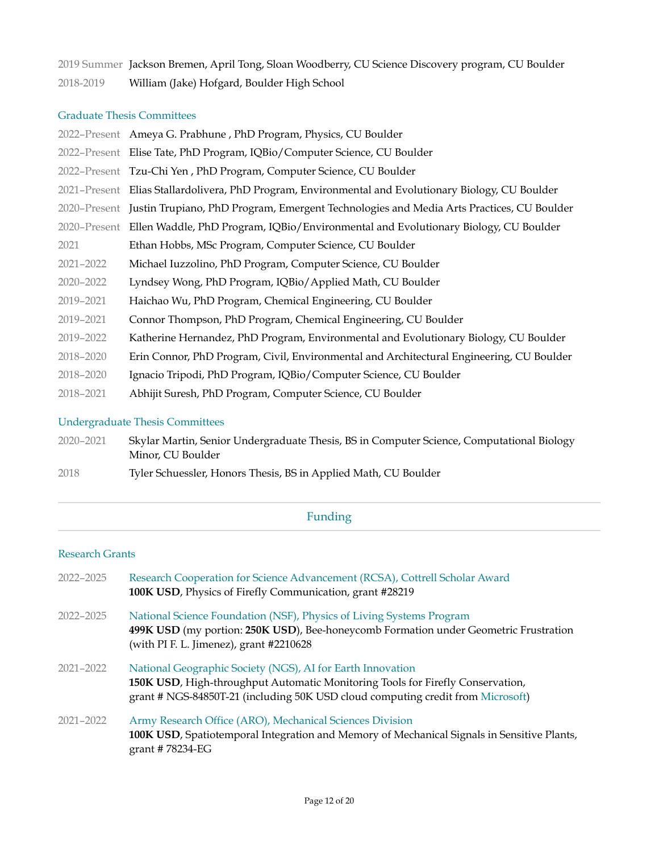2019 Summer Jackson Bremen, April Tong, Sloan Woodberry, CU Science Discovery program, CU Boulder 2018-2019 William (Jake) Hofgard, Boulder High School

#### Graduate Thesis Committees

|           | 2022–Present Ameya G. Prabhune, PhD Program, Physics, CU Boulder                                      |
|-----------|-------------------------------------------------------------------------------------------------------|
|           | 2022–Present Elise Tate, PhD Program, IQBio/Computer Science, CU Boulder                              |
|           | 2022–Present Tzu-Chi Yen, PhD Program, Computer Science, CU Boulder                                   |
|           | 2021–Present Elias Stallardolivera, PhD Program, Environmental and Evolutionary Biology, CU Boulder   |
|           | 2020–Present Justin Trupiano, PhD Program, Emergent Technologies and Media Arts Practices, CU Boulder |
|           | 2020-Present Ellen Waddle, PhD Program, IQBio/Environmental and Evolutionary Biology, CU Boulder      |
| 2021      | Ethan Hobbs, MSc Program, Computer Science, CU Boulder                                                |
| 2021-2022 | Michael Iuzzolino, PhD Program, Computer Science, CU Boulder                                          |
| 2020-2022 | Lyndsey Wong, PhD Program, IQBio/Applied Math, CU Boulder                                             |
| 2019-2021 | Haichao Wu, PhD Program, Chemical Engineering, CU Boulder                                             |
| 2019-2021 | Connor Thompson, PhD Program, Chemical Engineering, CU Boulder                                        |
| 2019-2022 | Katherine Hernandez, PhD Program, Environmental and Evolutionary Biology, CU Boulder                  |
| 2018-2020 | Erin Connor, PhD Program, Civil, Environmental and Architectural Engineering, CU Boulder              |
| 2018-2020 | Ignacio Tripodi, PhD Program, IQBio/Computer Science, CU Boulder                                      |
| 2018-2021 | Abhijit Suresh, PhD Program, Computer Science, CU Boulder                                             |
|           |                                                                                                       |

#### Undergraduate Thesis Committees

- 2020–2021 Skylar Martin, Senior Undergraduate Thesis, BS in Computer Science, Computational Biology Minor, CU Boulder
- 2018 Tyler Schuessler, Honors Thesis, BS in Applied Math, CU Boulder

### Funding

#### Research Grants

| 2022-2025     | Research Cooperation for Science Advancement (RCSA), Cottrell Scholar Award<br>100K USD, Physics of Firefly Communication, grant #28219                                                                                         |
|---------------|---------------------------------------------------------------------------------------------------------------------------------------------------------------------------------------------------------------------------------|
| 2022-2025     | National Science Foundation (NSF), Physics of Living Systems Program<br>499K USD (my portion: 250K USD), Bee-honeycomb Formation under Geometric Frustration<br>(with PI F. L. Jimenez), grant #2210628                         |
| 2021-2022     | National Geographic Society (NGS), AI for Earth Innovation<br>150K USD, High-throughput Automatic Monitoring Tools for Firefly Conservation,<br>grant # NGS-84850T-21 (including 50K USD cloud computing credit from Microsoft) |
| $2021 - 2022$ | Army Research Office (ARO), Mechanical Sciences Division<br>100K USD, Spatiotemporal Integration and Memory of Mechanical Signals in Sensitive Plants,<br>grant #78234-EG                                                       |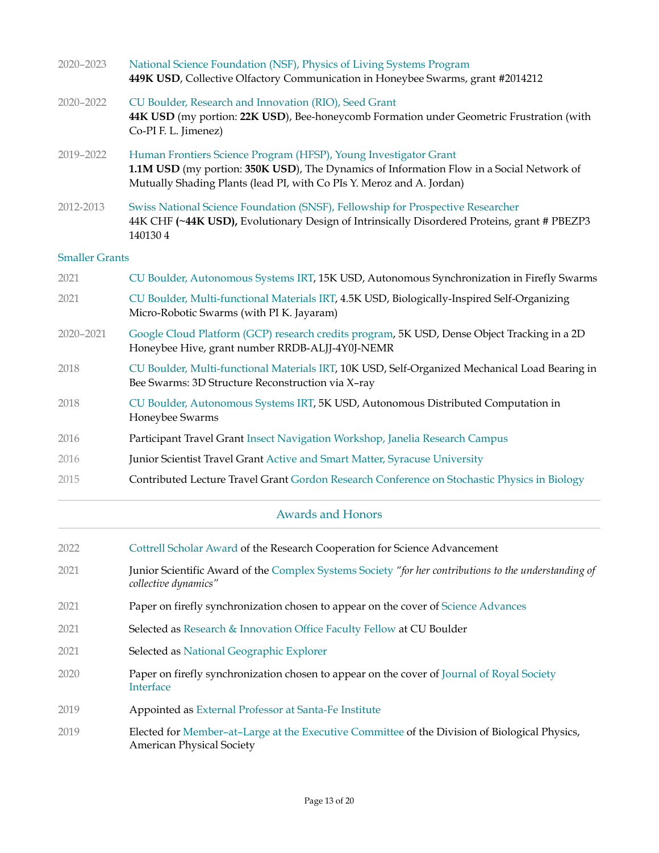| 2020-2023             | National Science Foundation (NSF), Physics of Living Systems Program<br>449K USD, Collective Olfactory Communication in Honeybee Swarms, grant #2014212                                                                               |
|-----------------------|---------------------------------------------------------------------------------------------------------------------------------------------------------------------------------------------------------------------------------------|
| 2020-2022             | CU Boulder, Research and Innovation (RIO), Seed Grant<br>44K USD (my portion: 22K USD), Bee-honeycomb Formation under Geometric Frustration (with<br>Co-PI F. L. Jimenez)                                                             |
| 2019-2022             | Human Frontiers Science Program (HFSP), Young Investigator Grant<br>1.1M USD (my portion: 350K USD), The Dynamics of Information Flow in a Social Network of<br>Mutually Shading Plants (lead PI, with Co PIs Y. Meroz and A. Jordan) |
| 2012-2013             | Swiss National Science Foundation (SNSF), Fellowship for Prospective Researcher<br>44K CHF (~44K USD), Evolutionary Design of Intrinsically Disordered Proteins, grant # PBEZP3<br>1401304                                            |
| <b>Smaller Grants</b> |                                                                                                                                                                                                                                       |
| 2021                  | CU Boulder, Autonomous Systems IRT, 15K USD, Autonomous Synchronization in Firefly Swarms                                                                                                                                             |
| 2021                  | CU Boulder, Multi-functional Materials IRT, 4.5K USD, Biologically-Inspired Self-Organizing<br>Micro-Robotic Swarms (with PI K. Jayaram)                                                                                              |
| 2020-2021             | Google Cloud Platform (GCP) research credits program, 5K USD, Dense Object Tracking in a 2D<br>Honeybee Hive, grant number RRDB-ALJJ-4Y0J-NEMR                                                                                        |
| 2018                  | CU Boulder, Multi-functional Materials IRT, 10K USD, Self-Organized Mechanical Load Bearing in<br>Bee Swarms: 3D Structure Reconstruction via X-ray                                                                                   |
| 2018                  | CU Boulder, Autonomous Systems IRT, 5K USD, Autonomous Distributed Computation in<br>Honeybee Swarms                                                                                                                                  |
| 2016                  | Participant Travel Grant Insect Navigation Workshop, Janelia Research Campus                                                                                                                                                          |
| 2016                  | Junior Scientist Travel Grant Active and Smart Matter, Syracuse University                                                                                                                                                            |
| 2015                  | Contributed Lecture Travel Grant Gordon Research Conference on Stochastic Physics in Biology                                                                                                                                          |
|                       | <b>Awards and Honors</b>                                                                                                                                                                                                              |
| 2022                  | Cottrell Scholar Award of the Research Cooperation for Science Advancement                                                                                                                                                            |
| 2021                  | Junior Scientific Award of the Complex Systems Society "for her contributions to the understanding of<br>collective dynamics"                                                                                                         |
| 2021                  | Paper on firefly synchronization chosen to appear on the cover of Science Advances                                                                                                                                                    |
| 2021                  | Selected as Research & Innovation Office Faculty Fellow at CU Boulder                                                                                                                                                                 |
| 2021                  | Selected as National Geographic Explorer                                                                                                                                                                                              |
| 2020                  | Paper on firefly synchronization chosen to appear on the cover of Journal of Royal Society<br>Interface                                                                                                                               |
| 2019                  | Appointed as External Professor at Santa-Fe Institute                                                                                                                                                                                 |
|                       |                                                                                                                                                                                                                                       |

2019 Elected for Member–at–Large at the Executive Committee of the Division of Biological Physics, American Physical Society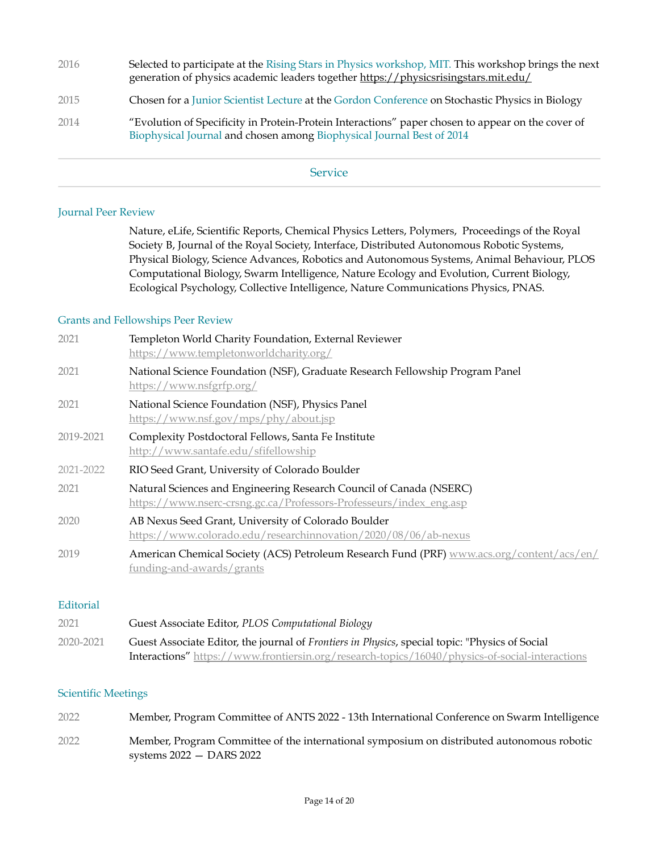| 2016 | Selected to participate at the Rising Stars in Physics workshop, MIT. This workshop brings the next<br>generation of physics academic leaders together https://physicsrisingstars.mit.edu/ |
|------|--------------------------------------------------------------------------------------------------------------------------------------------------------------------------------------------|
| 2015 | Chosen for a Junior Scientist Lecture at the Gordon Conference on Stochastic Physics in Biology                                                                                            |
| 2014 | "Evolution of Specificity in Protein-Protein Interactions" paper chosen to appear on the cover of<br>Biophysical Journal and chosen among Biophysical Journal Best of 2014                 |

**Service** 

#### Journal Peer Review

Nature, eLife, Scientific Reports, Chemical Physics Letters, Polymers, Proceedings of the Royal Society B, Journal of the Royal Society, Interface, Distributed Autonomous Robotic Systems, Physical Biology, Science Advances, Robotics and Autonomous Systems, Animal Behaviour, PLOS Computational Biology, Swarm Intelligence, Nature Ecology and Evolution, Current Biology, Ecological Psychology, Collective Intelligence, Nature Communications Physics, PNAS.

#### Grants and Fellowships Peer Review

| 2021      | Templeton World Charity Foundation, External Reviewer<br>https://www.templetonworldcharity.org/                                           |
|-----------|-------------------------------------------------------------------------------------------------------------------------------------------|
| 2021      | National Science Foundation (NSF), Graduate Research Fellowship Program Panel<br>https://www.nsfgrfp.org/                                 |
| 2021      | National Science Foundation (NSF), Physics Panel<br>https://www.nsf.gov/mps/phy/about.jsp                                                 |
| 2019-2021 | Complexity Postdoctoral Fellows, Santa Fe Institute<br>http://www.santafe.edu/sfifellowship                                               |
| 2021-2022 | RIO Seed Grant, University of Colorado Boulder                                                                                            |
| 2021      | Natural Sciences and Engineering Research Council of Canada (NSERC)<br>https://www.nserc-crsng.gc.ca/Professors-Professeurs/index_eng.asp |
| 2020      | AB Nexus Seed Grant, University of Colorado Boulder<br>https://www.colorado.edu/researchinnovation/2020/08/06/ab-nexus                    |
| 2019      | American Chemical Society (ACS) Petroleum Research Fund (PRF) www.acs.org/content/acs/en/<br>funding-and-awards/grants                    |

#### Editorial

| 2021      | Guest Associate Editor, PLOS Computational Biology                                                     |
|-----------|--------------------------------------------------------------------------------------------------------|
| 2020-2021 | Guest Associate Editor, the journal of <i>Frontiers in Physics</i> , special topic: "Physics of Social |
|           | <b>Interactions"</b> https://www.frontiersin.org/research-topics/16040/physics-of-social-interactions  |

#### Scientific Meetings

| 2022 | Member, Program Committee of ANTS 2022 - 13th International Conference on Swarm Intelligence                             |
|------|--------------------------------------------------------------------------------------------------------------------------|
| 2022 | Member, Program Committee of the international symposium on distributed autonomous robotic<br>systems $2022 - DARS 2022$ |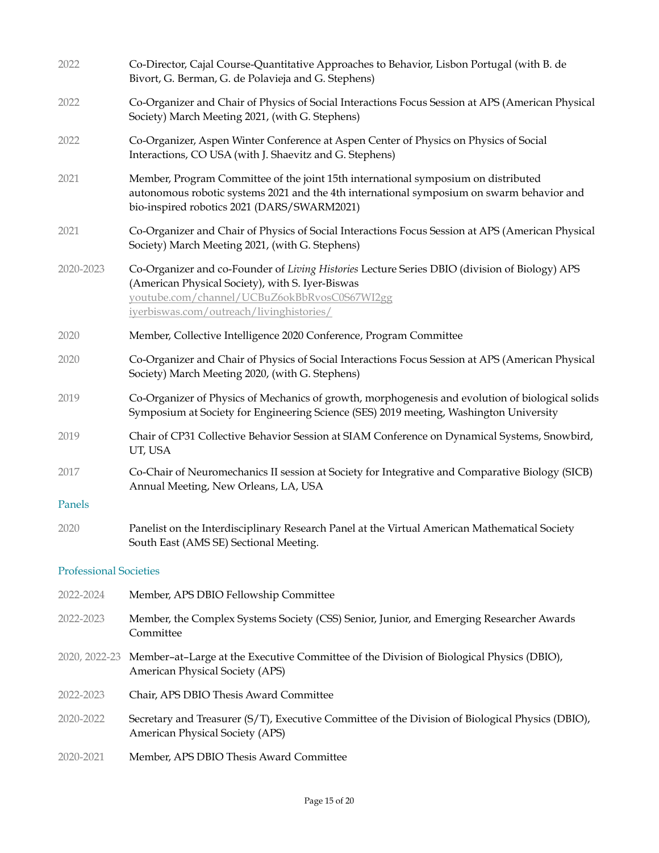| 2022                          | Co-Director, Cajal Course-Quantitative Approaches to Behavior, Lisbon Portugal (with B. de<br>Bivort, G. Berman, G. de Polavieja and G. Stephens)                                                                                             |
|-------------------------------|-----------------------------------------------------------------------------------------------------------------------------------------------------------------------------------------------------------------------------------------------|
| 2022                          | Co-Organizer and Chair of Physics of Social Interactions Focus Session at APS (American Physical<br>Society) March Meeting 2021, (with G. Stephens)                                                                                           |
| 2022                          | Co-Organizer, Aspen Winter Conference at Aspen Center of Physics on Physics of Social<br>Interactions, CO USA (with J. Shaevitz and G. Stephens)                                                                                              |
| 2021                          | Member, Program Committee of the joint 15th international symposium on distributed<br>autonomous robotic systems 2021 and the 4th international symposium on swarm behavior and<br>bio-inspired robotics 2021 (DARS/SWARM2021)                |
| 2021                          | Co-Organizer and Chair of Physics of Social Interactions Focus Session at APS (American Physical<br>Society) March Meeting 2021, (with G. Stephens)                                                                                           |
| 2020-2023                     | Co-Organizer and co-Founder of Living Histories Lecture Series DBIO (division of Biology) APS<br>(American Physical Society), with S. Iyer-Biswas<br>youtube.com/channel/UCBuZ6okBbRvosC0S67WI2gg<br>iverbiswas.com/outreach/livinghistories/ |
| 2020                          | Member, Collective Intelligence 2020 Conference, Program Committee                                                                                                                                                                            |
| 2020                          | Co-Organizer and Chair of Physics of Social Interactions Focus Session at APS (American Physical<br>Society) March Meeting 2020, (with G. Stephens)                                                                                           |
| 2019                          | Co-Organizer of Physics of Mechanics of growth, morphogenesis and evolution of biological solids<br>Symposium at Society for Engineering Science (SES) 2019 meeting, Washington University                                                    |
| 2019                          | Chair of CP31 Collective Behavior Session at SIAM Conference on Dynamical Systems, Snowbird,<br>UT, USA                                                                                                                                       |
| 2017                          | Co-Chair of Neuromechanics II session at Society for Integrative and Comparative Biology (SICB)<br>Annual Meeting, New Orleans, LA, USA                                                                                                       |
| Panels                        |                                                                                                                                                                                                                                               |
| 2020                          | Panelist on the Interdisciplinary Research Panel at the Virtual American Mathematical Society<br>South East (AMS SE) Sectional Meeting.                                                                                                       |
| <b>Professional Societies</b> |                                                                                                                                                                                                                                               |
| 2022-2024                     | Member, APS DBIO Fellowship Committee                                                                                                                                                                                                         |
| 2022-2023                     | Member, the Complex Systems Society (CSS) Senior, Junior, and Emerging Researcher Awards<br>Committee                                                                                                                                         |
| 2020, 2022-23                 | Member-at-Large at the Executive Committee of the Division of Biological Physics (DBIO),<br>American Physical Society (APS)                                                                                                                   |
| 2022-2023                     | Chair, APS DBIO Thesis Award Committee                                                                                                                                                                                                        |
| 2020-2022                     | Secretary and Treasurer (S/T), Executive Committee of the Division of Biological Physics (DBIO),<br><b>American Physical Society (APS)</b>                                                                                                    |
| 2020-2021                     | Member, APS DBIO Thesis Award Committee                                                                                                                                                                                                       |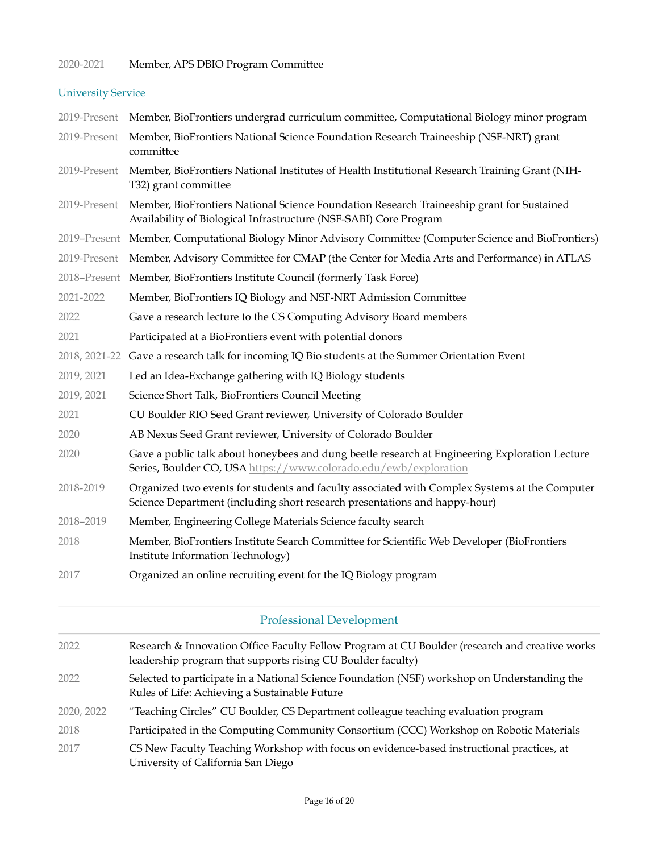## 2020-2021 Member, APS DBIO Program Committee

## University Service

|              | 2019-Present Member, BioFrontiers undergrad curriculum committee, Computational Biology minor program                                                                       |
|--------------|-----------------------------------------------------------------------------------------------------------------------------------------------------------------------------|
| 2019-Present | Member, BioFrontiers National Science Foundation Research Traineeship (NSF-NRT) grant<br>committee                                                                          |
| 2019-Present | Member, BioFrontiers National Institutes of Health Institutional Research Training Grant (NIH-<br>T32) grant committee                                                      |
| 2019-Present | Member, BioFrontiers National Science Foundation Research Traineeship grant for Sustained<br>Availability of Biological Infrastructure (NSF-SABI) Core Program              |
|              | 2019-Present Member, Computational Biology Minor Advisory Committee (Computer Science and BioFrontiers)                                                                     |
|              | 2019-Present Member, Advisory Committee for CMAP (the Center for Media Arts and Performance) in ATLAS                                                                       |
|              | 2018-Present Member, BioFrontiers Institute Council (formerly Task Force)                                                                                                   |
| 2021-2022    | Member, BioFrontiers IQ Biology and NSF-NRT Admission Committee                                                                                                             |
| 2022         | Gave a research lecture to the CS Computing Advisory Board members                                                                                                          |
| 2021         | Participated at a BioFrontiers event with potential donors                                                                                                                  |
|              | 2018, 2021-22 Gave a research talk for incoming IQ Bio students at the Summer Orientation Event                                                                             |
| 2019, 2021   | Led an Idea-Exchange gathering with IQ Biology students                                                                                                                     |
| 2019, 2021   | Science Short Talk, BioFrontiers Council Meeting                                                                                                                            |
| 2021         | CU Boulder RIO Seed Grant reviewer, University of Colorado Boulder                                                                                                          |
| 2020         | AB Nexus Seed Grant reviewer, University of Colorado Boulder                                                                                                                |
| 2020         | Gave a public talk about honeybees and dung beetle research at Engineering Exploration Lecture<br>Series, Boulder CO, USA https://www.colorado.edu/ewb/exploration          |
| 2018-2019    | Organized two events for students and faculty associated with Complex Systems at the Computer<br>Science Department (including short research presentations and happy-hour) |
| 2018-2019    | Member, Engineering College Materials Science faculty search                                                                                                                |
| 2018         | Member, BioFrontiers Institute Search Committee for Scientific Web Developer (BioFrontiers<br>Institute Information Technology)                                             |
| 2017         | Organized an online recruiting event for the IQ Biology program                                                                                                             |
|              | <b>Professional Development</b>                                                                                                                                             |
| 2022         | Research & Innovation Office Faculty Fellow Program at CU Boulder (research and creative works<br>leadership program that supports rising CU Boulder faculty)               |
| 2022         | Selected to participate in a National Science Foundation (NSF) workshop on Understanding the<br>Rules of Life: Achieving a Sustainable Future                               |
| 2020, 2022   | "Teaching Circles" CU Boulder, CS Department colleague teaching evaluation program                                                                                          |
| 2018         | Participated in the Computing Community Consortium (CCC) Workshop on Robotic Materials                                                                                      |
| 2017         | CS New Faculty Teaching Workshop with focus on evidence-based instructional practices, at<br>University of California San Diego                                             |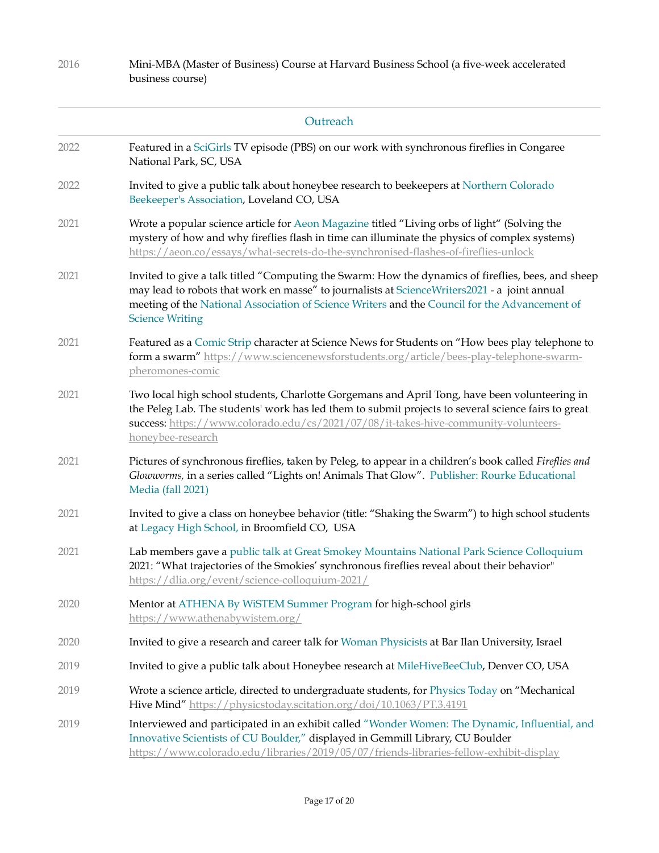| 2016 | Mini-MBA (Master of Business) Course at Harvard Business School (a five-week accelerated<br>business course)                                                                                                                                                                                                                  |
|------|-------------------------------------------------------------------------------------------------------------------------------------------------------------------------------------------------------------------------------------------------------------------------------------------------------------------------------|
|      | Outreach                                                                                                                                                                                                                                                                                                                      |
| 2022 | Featured in a SciGirls TV episode (PBS) on our work with synchronous fireflies in Congaree<br>National Park, SC, USA                                                                                                                                                                                                          |
| 2022 | Invited to give a public talk about honeybee research to beekeepers at Northern Colorado<br>Beekeeper's Association, Loveland CO, USA                                                                                                                                                                                         |
| 2021 | Wrote a popular science article for Aeon Magazine titled "Living orbs of light" (Solving the<br>mystery of how and why fireflies flash in time can illuminate the physics of complex systems)<br>https://aeon.co/essays/what-secrets-do-the-synchronised-flashes-of-fireflies-unlock                                          |
| 2021 | Invited to give a talk titled "Computing the Swarm: How the dynamics of fireflies, bees, and sheep<br>may lead to robots that work en masse" to journalists at ScienceWriters2021 - a joint annual<br>meeting of the National Association of Science Writers and the Council for the Advancement of<br><b>Science Writing</b> |
| 2021 | Featured as a Comic Strip character at Science News for Students on "How bees play telephone to<br>form a swarm" https://www.sciencenewsforstudents.org/article/bees-play-telephone-swarm-<br>pheromones-comic                                                                                                                |
| 2021 | Two local high school students, Charlotte Gorgemans and April Tong, have been volunteering in<br>the Peleg Lab. The students' work has led them to submit projects to several science fairs to great<br>success: https://www.colorado.edu/cs/2021/07/08/it-takes-hive-community-volunteers-<br>honeybee-research              |
| 2021 | Pictures of synchronous fireflies, taken by Peleg, to appear in a children's book called Fireflies and<br>Glowworms, in a series called "Lights on! Animals That Glow". Publisher: Rourke Educational<br>Media (fall 2021)                                                                                                    |
| 2021 | Invited to give a class on honeybee behavior (title: "Shaking the Swarm") to high school students<br>at Legacy High School, in Broomfield CO, USA                                                                                                                                                                             |
| 2021 | Lab members gave a public talk at Great Smokey Mountains National Park Science Colloquium<br>2021: "What trajectories of the Smokies' synchronous fireflies reveal about their behavior"<br>https://dlia.org/event/science-colloquium-2021/                                                                                   |
| 2020 | Mentor at ATHENA By WiSTEM Summer Program for high-school girls<br>https://www.athenabywistem.org/                                                                                                                                                                                                                            |
| 2020 | Invited to give a research and career talk for Woman Physicists at Bar Ilan University, Israel                                                                                                                                                                                                                                |
| 2019 | Invited to give a public talk about Honeybee research at MileHiveBeeClub, Denver CO, USA                                                                                                                                                                                                                                      |
| 2019 | Wrote a science article, directed to undergraduate students, for Physics Today on "Mechanical<br>Hive Mind" https://physicstoday.scitation.org/doi/10.1063/PT.3.4191                                                                                                                                                          |
| 2019 | Interviewed and participated in an exhibit called "Wonder Women: The Dynamic, Influential, and<br>Innovative Scientists of CU Boulder," displayed in Gemmill Library, CU Boulder<br>https://www.colorado.edu/libraries/2019/05/07/friends-libraries-fellow-exhibit-display                                                    |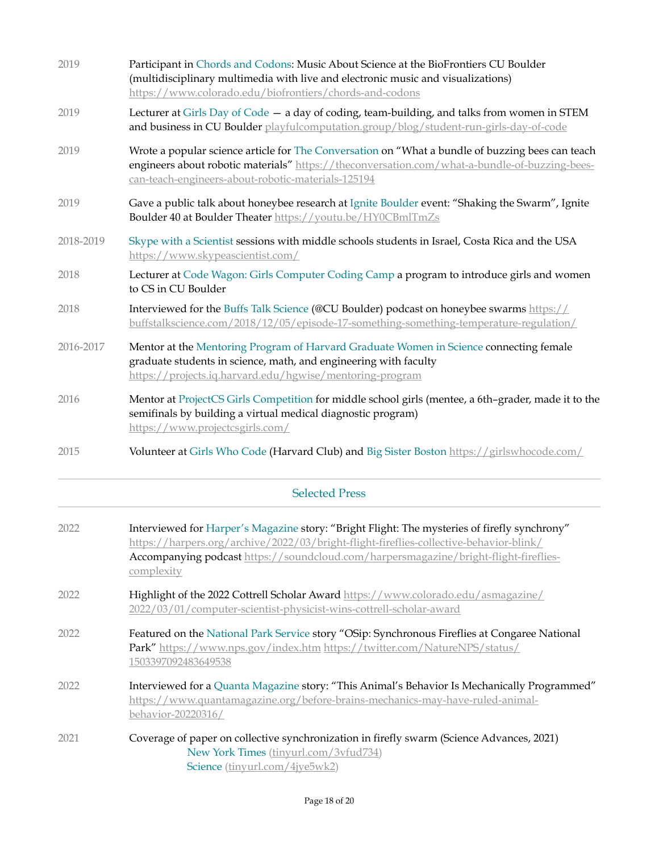| 2019      | Participant in Chords and Codons: Music About Science at the BioFrontiers CU Boulder<br>(multidisciplinary multimedia with live and electronic music and visualizations)<br>https://www.colorado.edu/biofrontiers/chords-and-codons                                                          |
|-----------|----------------------------------------------------------------------------------------------------------------------------------------------------------------------------------------------------------------------------------------------------------------------------------------------|
| 2019      | Lecturer at Girls Day of Code - a day of coding, team-building, and talks from women in STEM<br>and business in CU Boulder playfulcomputation.group/blog/student-run-girls-day-of-code                                                                                                       |
| 2019      | Wrote a popular science article for The Conversation on "What a bundle of buzzing bees can teach<br>engineers about robotic materials" https://theconversation.com/what-a-bundle-of-buzzing-bees-<br>can-teach-engineers-about-robotic-materials-125194                                      |
| 2019      | Gave a public talk about honeybee research at Ignite Boulder event: "Shaking the Swarm", Ignite<br>Boulder 40 at Boulder Theater https://youtu.be/HY0CBmlTmZs                                                                                                                                |
| 2018-2019 | Skype with a Scientist sessions with middle schools students in Israel, Costa Rica and the USA<br>https://www.skypeascientist.com/                                                                                                                                                           |
| 2018      | Lecturer at Code Wagon: Girls Computer Coding Camp a program to introduce girls and women<br>to CS in CU Boulder                                                                                                                                                                             |
| 2018      | Interviewed for the Buffs Talk Science (@CU Boulder) podcast on honeybee swarms https://<br>buffstalkscience.com/2018/12/05/episode-17-something-something-temperature-regulation/                                                                                                           |
| 2016-2017 | Mentor at the Mentoring Program of Harvard Graduate Women in Science connecting female<br>graduate students in science, math, and engineering with faculty<br>https://projects.iq.harvard.edu/hgwise/mentoring-program                                                                       |
| 2016      | Mentor at ProjectCS Girls Competition for middle school girls (mentee, a 6th-grader, made it to the<br>semifinals by building a virtual medical diagnostic program)<br>https://www.projectcsgirls.com/                                                                                       |
| 2015      | Volunteer at Girls Who Code (Harvard Club) and Big Sister Boston https://girlswhocode.com/                                                                                                                                                                                                   |
|           | <b>Selected Press</b>                                                                                                                                                                                                                                                                        |
| 2022      | Interviewed for Harper's Magazine story: "Bright Flight: The mysteries of firefly synchrony"<br>https://harpers.org/archive/2022/03/bright-flight-fireflies-collective-behavior-blink/<br>Accompanying podcast https://soundcloud.com/harpersmagazine/bright-flight-fireflies-<br>complexity |
| 2022      | Highlight of the 2022 Cottrell Scholar Award https://www.colorado.edu/asmagazine/<br>2022/03/01/computer-scientist-physicist-wins-cottrell-scholar-award                                                                                                                                     |
| 2022      | Featured on the National Park Service story "OSip: Synchronous Fireflies at Congaree National<br>Park" https://www.nps.gov/index.htm https://twitter.com/NatureNPS/status/<br>1503397092483649538                                                                                            |
| 2022      | Interviewed for a Quanta Magazine story: "This Animal's Behavior Is Mechanically Programmed"<br>https://www.quantamagazine.org/before-brains-mechanics-may-have-ruled-animal-<br>behavior-20220316/                                                                                          |

2021 Coverage of paper on collective synchronization in firefly swarm (Science Advances, 2021) New York Times [\(tinyurl.com/3vfud734](http://tinyurl.com/3vfud734)) Science [\(tinyurl.com/4jye5wk2\)](http://tinyurl.com/4jye5wk2)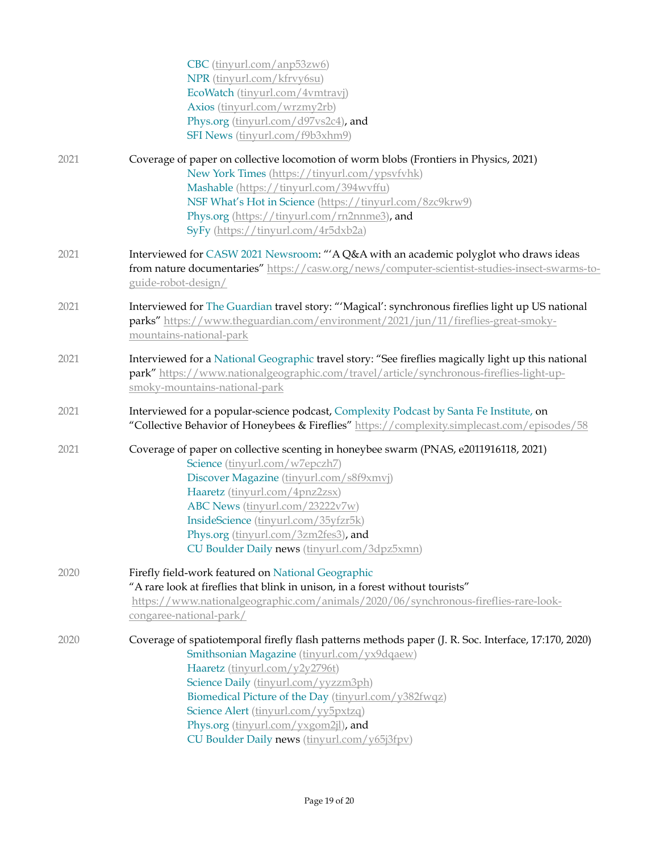|      | CBC (tinyurl.com/anp53zw6)<br>NPR (tinyurl.com/kfrvy6su)<br>EcoWatch (tinyurl.com/4vmtravj)<br>Axios (tinyurl.com/wrzmy2rb)<br>Phys.org (tinyurl.com/d97vs2c4), and<br>SFI News (tinyurl.com/f9b3xhm9)                                                                                                                                                                                                                |
|------|-----------------------------------------------------------------------------------------------------------------------------------------------------------------------------------------------------------------------------------------------------------------------------------------------------------------------------------------------------------------------------------------------------------------------|
| 2021 | Coverage of paper on collective locomotion of worm blobs (Frontiers in Physics, 2021)<br>New York Times (https://tinyurl.com/ypsvfvhk)<br>Mashable (https://tinyurl.com/394wvffu)<br>NSF What's Hot in Science (https://tinyurl.com/8zc9krw9)<br>Phys.org (https://tinyurl.com/rn2nnme3), and<br>SyFy (https://tinyurl.com/4r5dxb2a)                                                                                  |
| 2021 | Interviewed for CASW 2021 Newsroom: "'A Q&A with an academic polyglot who draws ideas<br>from nature documentaries" https://casw.org/news/computer-scientist-studies-insect-swarms-to-<br>guide-robot-design/                                                                                                                                                                                                         |
| 2021 | Interviewed for The Guardian travel story: "'Magical': synchronous fireflies light up US national<br>parks" https://www.theguardian.com/environment/2021/jun/11/fireflies-great-smoky-<br>mountains-national-park                                                                                                                                                                                                     |
| 2021 | Interviewed for a National Geographic travel story: "See fireflies magically light up this national<br>park" https://www.nationalgeographic.com/travel/article/synchronous-fireflies-light-up-<br>smoky-mountains-national-park                                                                                                                                                                                       |
| 2021 | Interviewed for a popular-science podcast, Complexity Podcast by Santa Fe Institute, on<br>"Collective Behavior of Honeybees & Fireflies" https://complexity.simplecast.com/episodes/58                                                                                                                                                                                                                               |
| 2021 | Coverage of paper on collective scenting in honeybee swarm (PNAS, e2011916118, 2021)<br>Science (tinyurl.com/w7epczh7)<br>Discover Magazine (tinyurl.com/s8f9xmvj)<br>Haaretz (tinyurl.com/4pnz2zsx)<br>ABC News (tinyurl.com/23222v7w)<br>InsideScience (tinyurl.com/35yfzr5k)<br>Phys.org (tinyurl.com/3zm2fes3), and<br>CU Boulder Daily news (tinyurl.com/3dpz5xmn)                                               |
| 2020 | Firefly field-work featured on National Geographic<br>"A rare look at fireflies that blink in unison, in a forest without tourists"<br>https://www.nationalgeographic.com/animals/2020/06/synchronous-fireflies-rare-look-<br>congaree-national-park/                                                                                                                                                                 |
| 2020 | Coverage of spatiotemporal firefly flash patterns methods paper (J. R. Soc. Interface, 17:170, 2020)<br>Smithsonian Magazine (tinyurl.com/yx9dqaew)<br>Haaretz (tinyurl.com/y2y2796t)<br>Science Daily (tinyurl.com/yyzzm3ph)<br>Biomedical Picture of the Day (tinyurl.com/y382fwqz)<br>Science Alert (tinyurl.com/yy5pxtzq)<br>Phys.org (tinyurl.com/yxgom2jl), and<br>CU Boulder Daily news (tinyurl.com/y65j3fpv) |